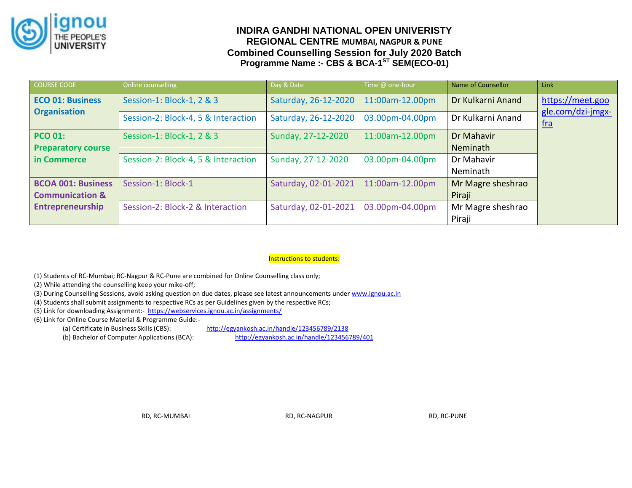

# **INDIRA GANDHI NATIONAL OPEN UNIVERISTY REGIONAL CENTRE MUMBAI, NAGPUR & PUNE Combined Counselling Session for July 2020 Batch Programme Name :- CBS & BCA-1<sup>ST</sup> SEM(ECO-01)**

| COURSE CODE                | Online counselling                  | Day & Date           | Time @ one-hour | Name of Counsellor | Link                            |
|----------------------------|-------------------------------------|----------------------|-----------------|--------------------|---------------------------------|
| <b>ECO 01: Business</b>    | Session-1: Block-1, 2 & 3           | Saturday, 26-12-2020 | 11:00am-12.00pm | Dr Kulkarni Anand  | https://meet.goo                |
| <b>Organisation</b>        | Session-2: Block-4, 5 & Interaction | Saturday, 26-12-2020 | 03.00pm-04.00pm | Dr Kulkarni Anand  | gle.com/dzi-jmgx-<br><u>fra</u> |
| <b>PCO 01:</b>             | Session-1: Block-1, 2 & 3           | Sunday, 27-12-2020   | 11:00am-12.00pm | Dr Mahavir         |                                 |
| <b>Preparatory course</b>  |                                     |                      |                 | Neminath           |                                 |
| in Commerce                | Session-2: Block-4, 5 & Interaction | Sunday, 27-12-2020   | 03.00pm-04.00pm | Dr Mahavir         |                                 |
|                            |                                     |                      |                 | Neminath           |                                 |
| <b>BCOA 001: Business</b>  | Session-1: Block-1                  | Saturday, 02-01-2021 | 11:00am-12.00pm | Mr Magre sheshrao  |                                 |
| <b>Communication &amp;</b> |                                     |                      |                 | Piraji             |                                 |
| <b>Entrepreneurship</b>    | Session-2: Block-2 & Interaction    | Saturday, 02-01-2021 | 03.00pm-04.00pm | Mr Magre sheshrao  |                                 |
|                            |                                     |                      |                 | Piraji             |                                 |

## Instructions to students:

(1) Students of RC-Mumbai; RC-Nagpur & RC-Pune are combined for Online Counselling class only;

(2) While attending the counselling keep your mike-off;

(3) During Counselling Sessions, avoid asking question on due dates, please see latest announcements unde[r www.ignou.ac.in](http://www.ignou.ac.in/)

(4) Students shall submit assignments to respective RCs as per Guidelines given by the respective RCs;

(5) Link for downloading Assignment:-<https://webservices.ignou.ac.in/assignments/>

(6) Link for Online Course Material & Programme Guide:-

(b) Bachelor of Computer Applications (BCA): <http://egyankosh.ac.in/handle/123456789/401>

(a) Certificate in Business Skills (CBS): <http://egyankosh.ac.in/handle/123456789/2138>